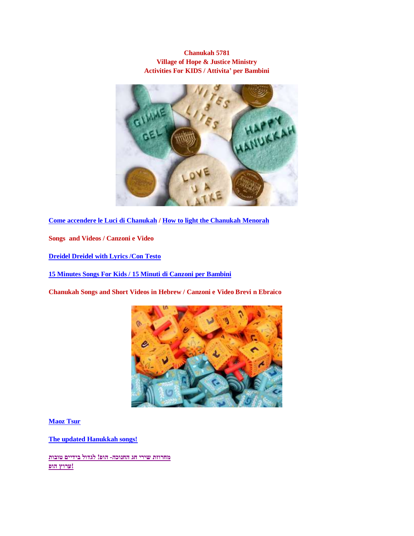## **Chanukah 5781 Village of Hope & Justice Ministry Activities For KIDS / Attivita' per Bambini**



**[Come accendere le Luci di Chanukah](https://www.youtubekids.com/watch?v=LyGc6yjanfA&hl=it) / How to light the [Chanukah Menorah](https://www.youtube.com/watch?v=MxFjVPj4uk4)**

**Songs and Videos / Canzoni e Video**

**[Dreidel Dreidel with Lyrics /Con Testo](https://www.youtubekids.com/watch?v=WKreDYVWark&hl=it)**

**[15 Minutes Songs For Kids / 15 Minuti di Canzoni per Bambini](https://www.youtubekids.com/watch?v=b-_N1qXozkQ&hl=it)**

**Chanukah Songs and Short Videos in Hebrew / Canzoni e Video Brevi n Ebraico**



**[Maoz Tsur](https://youtu.be/IhcO0m5s9To)**

**[The updated Hanukkah songs!](https://youtu.be/z0MxvAQJw58)**

**[מחרוזת שירי חג החנוכה-](https://www.youtubekids.com/watch?v=ZuOJT0bCGjM&hl=it) הופ! לגדול בידיים טובות [!ערוץ הופ](https://www.youtubekids.com/watch?v=ZuOJT0bCGjM&hl=it)**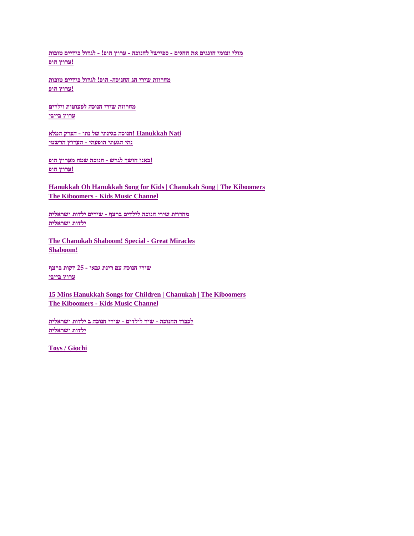**[מולי וצומי חוגגים את החגים -](https://www.youtubekids.com/watch?v=gKRQA7-n5pE&hl=it) ספיישל לחנוכה - ערוץ הופ! - לגדול בידיים טובות [!ערוץ הופ](https://www.youtubekids.com/watch?v=gKRQA7-n5pE&hl=it)**

**[מחרוזת שירי חג החנוכה-](https://www.youtubekids.com/watch?v=ZuOJT0bCGjM&hl=it) הופ! לגדול בידיים טובות [!ערוץ הופ](https://www.youtubekids.com/watch?v=ZuOJT0bCGjM&hl=it)**

**[מחרוזת שירי חנוכה לפעוטות וילדים](https://www.youtubekids.com/watch?v=BGQQ4S_OVNY&hl=it) [ערוץ בייבי](https://www.youtubekids.com/watch?v=BGQQ4S_OVNY&hl=it)**

**[Nati Hanukkah! חנוכה בגינתי של נתי -](https://www.youtubekids.com/watch?v=8aYC-021Cmk&hl=it) הפרק המלא [נתי הגעתי הופעתי -](https://www.youtubekids.com/watch?v=8aYC-021Cmk&hl=it) הערוץ הרשמי**

**!באנו חושך לגרש - [חנוכה שמח מערוץ הופ](https://www.youtubekids.com/watch?v=6vClC6bQG48&hl=it) [!ערוץ הופ](https://www.youtubekids.com/watch?v=6vClC6bQG48&hl=it)**

**[Hanukkah Oh Hanukkah Song for Kids | Chanukah Song | The Kiboomers](https://www.youtubekids.com/watch?v=2KKNnECMKbg&hl=it) The Kiboomers - [Kids Music Channel](https://www.youtubekids.com/watch?v=2KKNnECMKbg&hl=it)**

**[מחרוזת שירי חנוכה לילדים ברצף -](https://www.youtubekids.com/watch?v=0BdV9Kwc0FQ&hl=it) שירים ילדות ישראלית [ילדות ישראלית](https://www.youtubekids.com/watch?v=0BdV9Kwc0FQ&hl=it)**

**[The Chanukah Shaboom! Special -](https://www.youtubekids.com/watch?v=lvUmL5TOP74&hl=it) Great Miracles [Shaboom!](https://www.youtubekids.com/watch?v=lvUmL5TOP74&hl=it)**

**[שירי חנוכה עם רינת גבאי -](https://www.youtubekids.com/watch?v=t2b57bZcekU&hl=it) 25 דקות ברצף [ערוץ בייבי](https://www.youtubekids.com/watch?v=t2b57bZcekU&hl=it)**

**[15 Mins Hanukkah Songs for Children | Chanukah | The Kiboomers](https://www.youtubekids.com/watch?v=b-_N1qXozkQ&hl=it) The Kiboomers - [Kids Music Channel](https://www.youtubekids.com/watch?v=b-_N1qXozkQ&hl=it)**

**לכבוד החנוכה - שיר לילדים - [שירי חנוכה ב ילדות ישראלית](https://www.youtubekids.com/watch?v=liAmCVeNvZE&hl=it) [ילדות ישראלית](https://www.youtubekids.com/watch?v=liAmCVeNvZE&hl=it)**

**[Toys / Giochi](https://themenschonabench.com/)**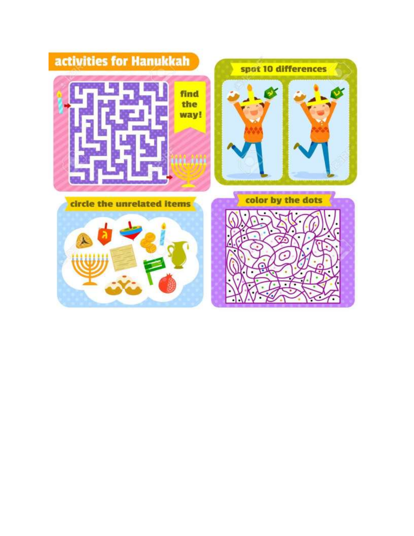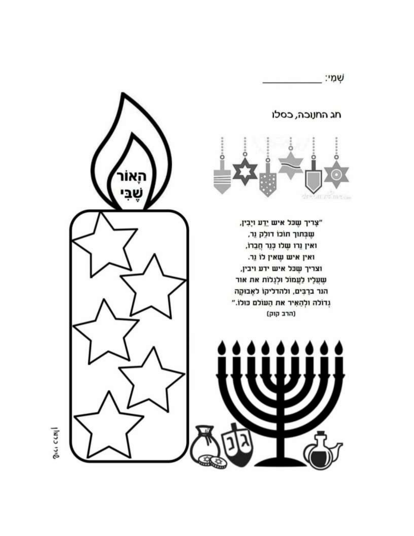

חג החנוכה, כסלו



"צָריך שֶכּל איש יֵדְע ויָבִין, שֶבְּתוּך תוֹכוֹ דולַק נֵר, ואין גֵרו שֶׁלוּ כְּגֵר חֲבֵרוֹ, ואין איש שָאין לוֹ נֵר. וצריך שֶכּל איש ידע ויבין, שֶׁעֲלָיו לַעֲמוֹל וּלְנֶלוֹת את אור הנר ברַבִּים, ולהדליקוֹ לאָבוּקָה גְדוֹלה ולְהָאִיר את הַעוֹלם כּוּלוֹ." (הרב קוק)



JINJO 1710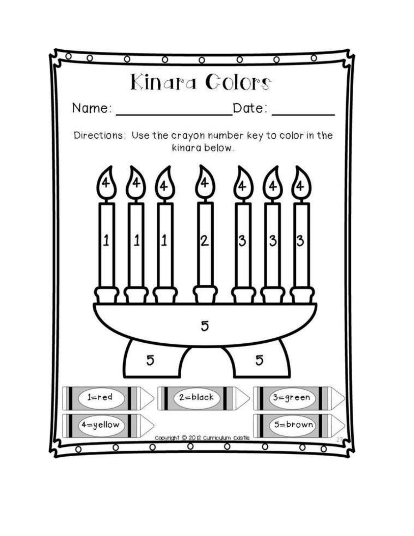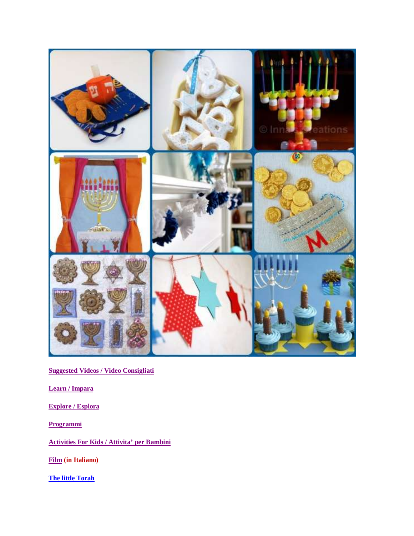

**[Suggested Videos / Video Consigliati](https://www.youtubekids.com/search?q=CHANUKAH&hl=it)**

**Learn [/ Impara](https://www.youtubekids.com/search?q=chanukah&hl=it)**

**[Explore / Esplora](https://www.youtubekids.com/search?q=chanukah&hl=it)**

**[Programmi](https://www.youtubekids.com/search?q=chanukah&hl=it)**

**[Activities For Kids / Attivita'](https://www.care.com/c/stories/3633/101-hanukkah-activities-for-kids/) per Bambini**

**[Film](https://www.raiplay.it/programmi/hanukkah-lafestadelleluci) (in Italiano)**

**[The little Torah](https://www.facebook.com/watch/live/?v=480716752911403&ref=watch_permalink)**